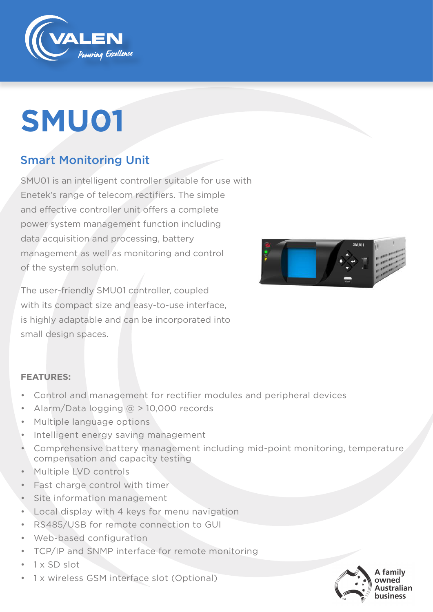

# **SMU01**

### Smart Monitoring Unit

SMU01 is an intelligent controller suitable for use with Enetek's range of telecom rectifiers. The simple and effective controller unit offers a complete power system management function including data acquisition and processing, battery management as well as monitoring and control of the system solution.

The user-friendly SMU01 controller, coupled with its compact size and easy-to-use interface, is highly adaptable and can be incorporated into small design spaces.



#### **FEATURES:**

- Control and management for rectifier modules and peripheral devices
- Alarm/Data logging  $\omega$  > 10,000 records
- Multiple language options
- Intelligent energy saving management
- Comprehensive battery management including mid-point monitoring, temperature compensation and capacity testing
- Multiple LVD controls
- Fast charge control with timer
- Site information management
- Local display with 4 keys for menu navigation
- RS485/USB for remote connection to GUI
- Web-based configuration
- TCP/IP and SNMP interface for remote monitoring
- 1 x SD slot
- 1 x wireless GSM interface slot (Optional)